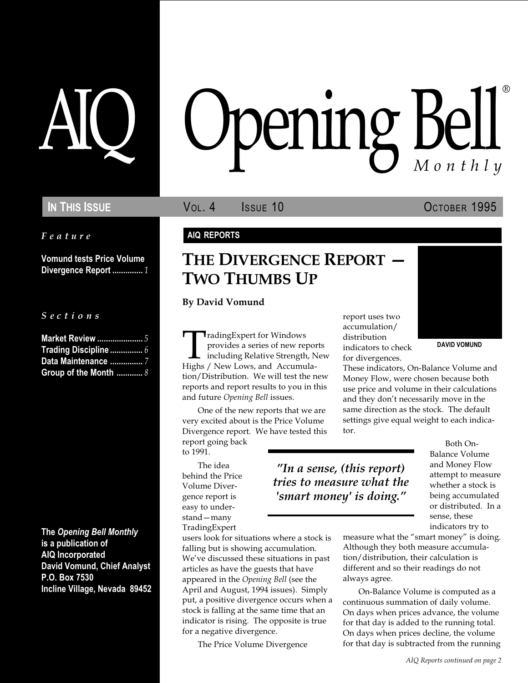Feature

Vomund tests Price Volume Divergence Report ............... 1

S e c t i o n s

| <b>Market Review </b> 5 |
|-------------------------|
| Trading Discipline $6$  |
| Data Maintenance  7     |
| Group of the Month $8$  |

The Opening Bell Monthly is a publication of AIQ Incorporated David Vomund, Chief Analyst P.O. Box 7530 Incline Village, Nevada 89452

# pening Bel Monthly ®

In This Issue **Vol. 4** Issue 10 OCTOBER 1995

#### AIQ REPORTS

## THE DIVERGENCE REPORT  $-$ TWO THUMBS UP

By David Vomund

Trading Expert for Windows<br>
provides a series of new reports<br>
including Relative Strength, New for divergences.<br>
Highs / New Lows, and Accumula-<br>
These indicators On-Balance Volume **TradingExpert for Windows** provides a series of new reports including Relative Strength, New Highs / New Lows, and Accumulation/Distribution. We will test the new reports and report results to you in this and future Opening Bell issues.

One of the new reports that we are very excited about is the Price Volume Divergence report. We have tested this report going back to 1991.

The idea behind the Price Volume Divergence report is easy to understand - many TradingExpert

users look for situations where a stock is falling but is showing accumulation. We've discussed these situations in past articles as have the guests that have appeared in the Opening Bell (see the April and August, 1994 issues). Simply put, a positive divergence occurs when a stock is falling at the same time that an indicator is rising. The opposite is true for a negative divergence.

The Price Volume Divergence

report uses two accumulation/ distribution indicators to check for divergences.

 $"In a sense, (this report)$ tries to measure what the 'smart money' is doing.



These indicators, On-Balance Volume and Money Flow, were chosen because both use price and volume in their calculations and they don't necessarily move in the same direction as the stock. The default settings give equal weight to each indicator.

> Both On-Balance Volume and Money Flow attempt to measure whether a stock is being accumulated or distributed. In a sense, these indicators try to

measure what the "smart money" is doing. Although they both measure accumulation/distribution, their calculation is different and so their readings do not always agree.

On-Balance Volume is computed as a continuous summation of daily volume. On days when prices advance, the volume for that day is added to the running total. On days when prices decline, the volume for that day is subtracted from the running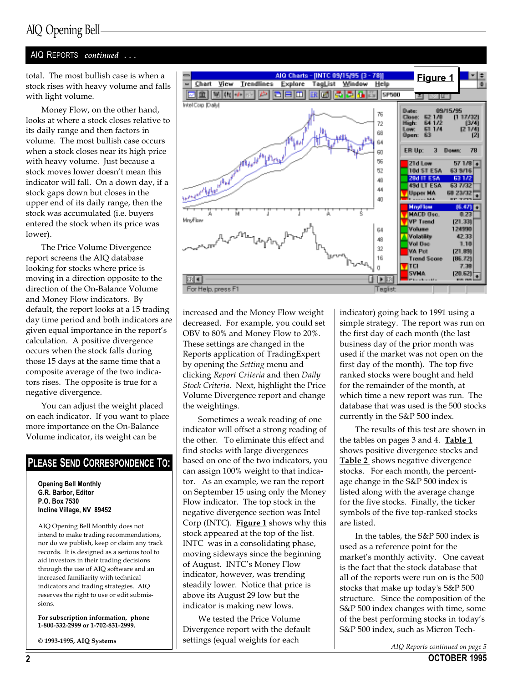### AIQ Opening Bell

#### AIQ REPORTS continued ...

total. The most bullish case is when a stock rises with heavy volume and falls with light volume.

Money Flow, on the other hand, looks at where a stock closes relative to its daily range and then factors in volume. The most bullish case occurs when a stock closes near its high price with heavy volume. Just because a stock moves lower doesn't mean this indicator will fall. On a down day, if a stock gaps down but closes in the upper end of its daily range, then the stock was accumulated (i.e. buyers entered the stock when its price was lower).

The Price Volume Divergence report screens the AIQ database looking for stocks where price is moving in a direction opposite to the direction of the On-Balance Volume and Money Flow indicators. By default, the report looks at a 15 trading day time period and both indicators are given equal importance in the report's calculation. A positive divergence occurs when the stock falls during those 15 days at the same time that a composite average of the two indicators rises. The opposite is true for a negative divergence.

You can adjust the weight placed on each indicator. If you want to place more importance on the On-Balance Volume indicator, its weight can be

#### PLEASE SEND CORRESPONDENCE TO:

Opening Bell Monthly G.R. Barbor, Editor P.O. Box 7530 Incline Village, NV 89452

AIQ Opening Bell Monthly does not intend to make trading recommendations, nor do we publish, keep or claim any track records. It is designed as a serious tool to aid investors in their trading decisions through the use of AIQ software and an increased familiarity with technical indicators and trading strategies. AIQ reserves the right to use or edit submissions.

For subscription information, phone 1-800-332-2999 or 1-702-831-2999.

© 1993-1995, AIQ Systems



increased and the Money Flow weight decreased. For example, you could set OBV to 80% and Money Flow to 20%. These settings are changed in the Reports application of TradingExpert by opening the Setting menu and clicking Report Criteria and then Daily Stock Criteria. Next, highlight the Price Volume Divergence report and change the weightings.

Sometimes a weak reading of one indicator will offset a strong reading of the other. To eliminate this effect and find stocks with large divergences based on one of the two indicators, you can assign 100% weight to that indicator. As an example, we ran the report on September 15 using only the Money Flow indicator. The top stock in the negative divergence section was Intel Corp (INTC). **Figure 1** shows why this stock appeared at the top of the list. INTC was in a consolidating phase, moving sideways since the beginning of August. INTC's Money Flow indicator, however, was trending steadily lower. Notice that price is above its August 29 low but the indicator is making new lows.

We tested the Price Volume Divergence report with the default settings (equal weights for each

indicator) going back to 1991 using a simple strategy. The report was run on the first day of each month (the last business day of the prior month was used if the market was not open on the first day of the month). The top five ranked stocks were bought and held for the remainder of the month, at which time a new report was run. The database that was used is the 500 stocks currently in the S&P 500 index.

The results of this test are shown in the tables on pages  $3$  and  $4.$  Table  $1$ shows positive divergence stocks and **Table 2** shows negative divergence stocks. For each month, the percentage change in the S&P 500 index is listed along with the average change for the five stocks. Finally, the ticker symbols of the five top-ranked stocks are listed.

In the tables, the S&P 500 index is used as a reference point for the market's monthly activity. One caveat is the fact that the stock database that all of the reports were run on is the 500 stocks that make up today's S&P 500 structure. Since the composition of the S&P 500 index changes with time, some of the best performing stocks in today's S&P 500 index, such as Micron Tech-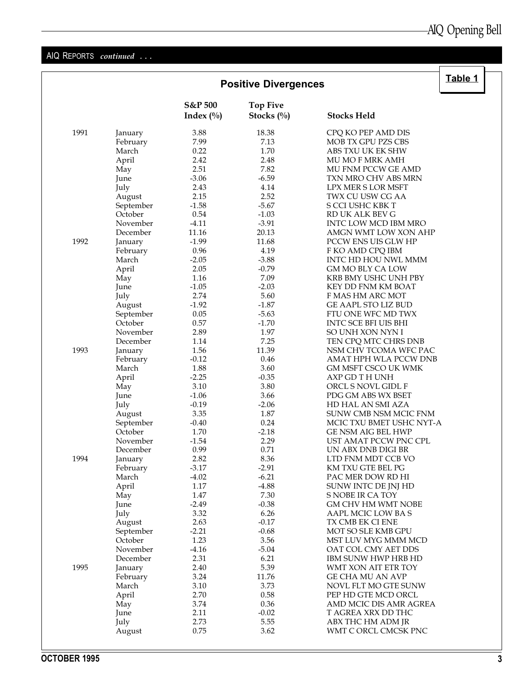#### AIQ REPORTS continued ...

|      | <b>Positive Divergences</b> |                         |                                  |                             | Table 1 |
|------|-----------------------------|-------------------------|----------------------------------|-----------------------------|---------|
|      |                             | S&P 500<br>Index $(\%)$ | <b>Top Five</b><br>Stocks $(\%)$ | <b>Stocks Held</b>          |         |
| 1991 | January                     | 3.88                    | 18.38                            | CPQ KO PEP AMD DIS          |         |
|      | February                    | 7.99                    | 7.13                             | MOB TX GPU PZS CBS          |         |
|      | March                       | 0.22                    | 1.70                             | ABS TXU UK EK SHW           |         |
|      | April                       | 2.42                    | 2.48                             | MU MO F MRK AMH             |         |
|      | May                         | 2.51                    | 7.82                             | MU FNM PCCW GE AMD          |         |
|      | June                        | $-3.06$                 | $-6.59$                          | TXN MRO CHV ABS MRN         |         |
|      | July                        | 2.43                    | 4.14                             | <b>LPX MER S LOR MSFT</b>   |         |
|      | August                      | 2.15                    | 2.52                             | TWX CU USW CG AA            |         |
|      | September                   | $-1.58$                 | $-5.67$                          | S CCI USHC KBK T            |         |
|      | October                     | 0.54                    | $-1.03$                          | RD UK ALK BEV G             |         |
|      | November                    | $-4.11$                 | $-3.91$                          | INTC LOW MCD IBM MRO        |         |
|      | December                    | 11.16                   | 20.13                            | AMGN WMT LOW XON AHP        |         |
| 1992 | January                     | $-1.99$                 | 11.68                            | <b>PCCW ENS UIS GLW HP</b>  |         |
|      | February                    | 0.96                    | 4.19                             | F KO AMD CPQ IBM            |         |
|      | March                       | $-2.05$                 | $-3.88$                          | INTC HD HOU NWL MMM         |         |
|      |                             | 2.05                    | $-0.79$                          | GM MO BLY CA LOW            |         |
|      | April                       | 1.16                    | 7.09                             |                             |         |
|      | May                         | $-1.05$                 | $-2.03$                          | KRB BMY USHC UNH PBY        |         |
|      | June                        |                         |                                  | KEY DD FNM KM BOAT          |         |
|      | July                        | 2.74                    | 5.60                             | F MAS HM ARC MOT            |         |
|      | August                      | $-1.92$                 | $-1.87$                          | GE AAPL STO LIZ BUD         |         |
|      | September                   | 0.05                    | $-5.63$                          | FTU ONE WFC MD TWX          |         |
|      | October                     | 0.57                    | $-1.70$                          | <b>INTC SCE BFI UIS BHI</b> |         |
|      | November                    | 2.89                    | 1.97                             | SO UNH XON NYN I            |         |
|      | December                    | 1.14                    | 7.25                             | TEN CPQ MTC CHRS DNB        |         |
| 1993 | January                     | 1.56                    | 11.39                            | NSM CHV TCOMA WFC PAC       |         |
|      | February                    | $-0.12$                 | 0.46                             | AMAT HPH WLA PCCW DNB       |         |
|      | March                       | 1.88                    | 3.60                             | <b>GM MSFT CSCO UK WMK</b>  |         |
|      | April                       | $-2.25$                 | $-0.35$                          | AXP GD T H UNH              |         |
|      | May                         | 3.10                    | 3.80                             | ORCL S NOVL GIDL F          |         |
|      | June                        | $-1.06$                 | 3.66                             | PDG GM ABS WX BSET          |         |
|      | July                        | $-0.19$                 | $-2.06$                          | HD HAL AN SMI AZA           |         |
|      | August                      | 3.35                    | 1.87                             | SUNW CMB NSM MCIC FNM       |         |
|      | September                   | $-0.40$                 | 0.24                             | MCIC TXU BMET USHC NYT-A    |         |
|      | October                     | 1.70                    | $-2.18$                          | GE NSM AIG BEL HWP          |         |
|      | November                    | $-1.54$                 | 2.29                             | UST AMAT PCCW PNC CPL       |         |
|      | December                    | 0.99                    | 0.71                             | UN ABX DNB DIGI BR          |         |
| 1994 | January                     | 2.82                    | 8.36                             | LTD FNM MDT CCB VO          |         |
|      | February                    | $-3.17$                 | $-2.91$                          | KM TXU GTE BEL PG           |         |
|      | March                       | $-4.02$                 | $-6.21$                          | PAC MER DOW RD HI           |         |
|      | April                       | 1.17                    | $-4.88$                          | SUNW INTC DE JNJ HD         |         |
|      | May                         | 1.47                    | 7.30                             | S NOBE IR CA TOY            |         |
|      | June                        | $-2.49$                 | $-0.38$                          | <b>GM CHV HM WMT NOBE</b>   |         |
|      | July                        | 3.32                    | 6.26                             | AAPL MCIC LOW BAS           |         |
|      | August                      | 2.63                    | $-0.17$                          | TX CMB EK CI ENE            |         |
|      | September                   | $-2.21$                 | $-0.68$                          | MOT SO SLE KMB GPU          |         |
|      | October                     | 1.23                    | 3.56                             | MST LUV MYG MMM MCD         |         |
|      | November                    | $-4.16$                 | $-5.04$                          | OAT COL CMY AET DDS         |         |
|      | December                    | 2.31                    | 6.21                             | IBM SUNW HWP HRB HD         |         |
| 1995 | January                     | 2.40                    | 5.39                             | WMT XON AIT ETR TOY         |         |
|      | February                    | 3.24                    | 11.76                            | GE CHA MU AN AVP            |         |
|      | March                       | 3.10                    | 3.73                             | NOVL FLT MO GTE SUNW        |         |
|      | April                       | 2.70                    | 0.58                             | PEP HD GTE MCD ORCL         |         |
|      | May                         | 3.74                    | 0.36                             | AMD MCIC DIS AMR AGREA      |         |
|      | June                        | 2.11                    | $-0.02$                          | T AGREA XRX DD THC          |         |
|      | July                        | 2.73                    | 5.55                             | ABX THC HM ADM JR           |         |
|      | August                      | 0.75                    | 3.62                             | WMT C ORCL CMCSK PNC        |         |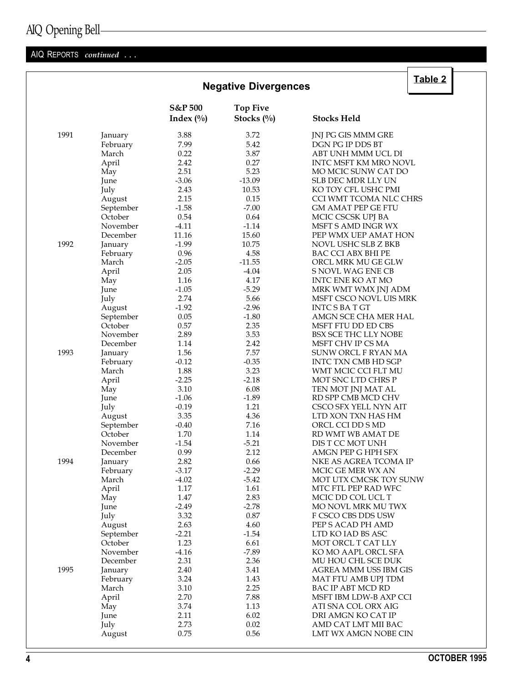## AIQ Opening Bell

### AIQ REPORTS continued ...

|      |           |              | <b>Negative Divergences</b> |                           |
|------|-----------|--------------|-----------------------------|---------------------------|
|      |           | S&P 500      | <b>Top Five</b>             |                           |
|      |           | Index $(\%)$ | Stocks (%)                  | <b>Stocks Held</b>        |
| 1991 | January   | 3.88         | 3.72                        | JNJ PG GIS MMM GRE        |
|      | February  | 7.99         | 5.42                        | DGN PG IP DDS BT          |
|      | March     | 0.22         | 3.87                        | ABT UNH MMM UCL DI        |
|      | April     | 2.42         | 0.27                        | INTC MSFT KM MRO NOVL     |
|      | May       | 2.51         | 5.23                        | MO MCIC SUNW CAT DO       |
|      | June      | $-3.06$      | $-13.09$                    | <b>SLB DEC MDR LLY UN</b> |
|      | July      | 2.43         | 10.53                       | KO TOY CFL USHC PMI       |
|      | August    | 2.15         | 0.15                        | CCI WMT TCOMA NLC CHRS    |
|      | September | $-1.58$      | $-7.00$                     | <b>GM AMAT PEP GE FTU</b> |
|      | October   | 0.54         | 0.64                        | MCIC CSCSK UPJ BA         |
|      | November  | $-4.11$      | $-1.14$                     | <b>MSFT S AMD INGR WX</b> |
|      | December  | 11.16        | 15.60                       |                           |
|      |           |              |                             | PEP WMX UEP AMAT HON      |
| 1992 | January   | $-1.99$      | 10.75                       | NOVL USHC SLB Z BKB       |
|      | February  | 0.96         | 4.58                        | BAC CCI ABX BHI PE        |
|      | March     | $-2.05$      | $-11.55$                    | ORCL MRK MU GE GLW        |
|      | April     | 2.05         | $-4.04$                     | S NOVL WAG ENE CB         |
|      | May       | 1.16         | 4.17                        | INTC ENE KO AT MO         |
|      | June      | $-1.05$      | $-5.29$                     | MRK WMT WMX JNJ ADM       |
|      | July      | 2.74         | 5.66                        | MSFT CSCO NOVL UIS MRK    |
|      | August    | $-1.92$      | $-2.96$                     | <b>INTCSBATGT</b>         |
|      | September | 0.05         | $-1.80$                     | AMGN SCE CHA MER HAL      |
|      | October   | 0.57         | 2.35                        | MSFT FTU DD ED CBS        |
|      | November  | 2.89         | 3.53                        | BSX SCE THC LLY NOBE      |
|      | December  | 1.14         | 2.42                        | MSFT CHV IP CS MA         |
| 1993 | January   | 1.56         | 7.57                        | SUNW ORCL F RYAN MA       |
|      | February  | $-0.12$      | $-0.35$                     | INTC TXN CMB HD SGP       |
|      | March     | 1.88         | 3.23                        | WMT MCIC CCI FLT MU       |
|      | April     | $-2.25$      | $-2.18$                     | MOT SNC LTD CHRS P        |
|      | May       | 3.10         | 6.08                        | TEN MOT JNJ MAT AL        |
|      | June      | $-1.06$      | $-1.89$                     | RD SPP CMB MCD CHV        |
|      | July      | $-0.19$      | 1.21                        | CSCO SFX YELL NYN AIT     |
|      | August    | 3.35         | 4.36                        | LTD XON TXN HAS HM        |
|      | September | $-0.40$      | 7.16                        | ORCL CCI DD S MD          |
|      | October   | 1.70         | 1.14                        | RD WMT WB AMAT DE         |
|      | November  | $-1.54$      | $-5.21$                     | DIS T CC MOT UNH          |
|      | December  | 0.99         | 2.12                        | AMGN PEP G HPH SFX        |
| 1994 | January   | 2.82         | 0.66                        | NKE AS AGREA TCOMA IP     |
|      | February  | $-3.17$      | $-2.29$                     | MCIC GE MER WX AN         |
|      | March     | $-4.02$      | $-5.42$                     | MOT UTX CMCSK TOY SUNW    |
|      | April     | 1.17         | 1.61                        | MTC FTL PEP RAD WFC       |
|      | May       | 1.47         | 2.83                        | MCIC DD COL UCL T         |
|      | June      | $-2.49$      | $-2.78$                     | MO NOVL MRK MU TWX        |
|      | July      | 3.32         | 0.87                        | F CSCO CBS DDS USW        |
|      |           | 2.63         | 4.60                        |                           |
|      | August    |              |                             | PEP S ACAD PH AMD         |
|      | September | $-2.21$      | $-1.54$                     | LTD KO IAD BS ASC         |
|      | October   | 1.23         | 6.61                        | MOT ORCL T CAT LLY        |
|      | November  | $-4.16$      | $-7.89$                     | KO MO AAPL ORCL SFA       |
|      | December  | 2.31         | 2.36                        | MU HOU CHL SCE DUK        |
| 1995 | January   | 2.40         | 3.41                        | AGREA MMM USS IBM GIS     |
|      | February  | 3.24         | 1.43                        | MAT FTU AMB UPJ TDM       |
|      | March     | 3.10         | 2.25                        | BAC IP ABT MCD RD         |
|      | April     | 2.70         | 7.88                        | MSFT IBM LDW-B AXP CCI    |
|      | May       | 3.74         | 1.13                        | ATI SNA COL ORX AIG       |
|      | June      | 2.11         | 6.02                        | DRI AMGN KO CAT IP        |
|      | July      | 2.73         | 0.02                        | AMD CAT LMT MII BAC       |
|      | August    | 0.75         | 0.56                        | LMT WX AMGN NOBE CIN      |

# $\sqrt{\frac{1}{2}}$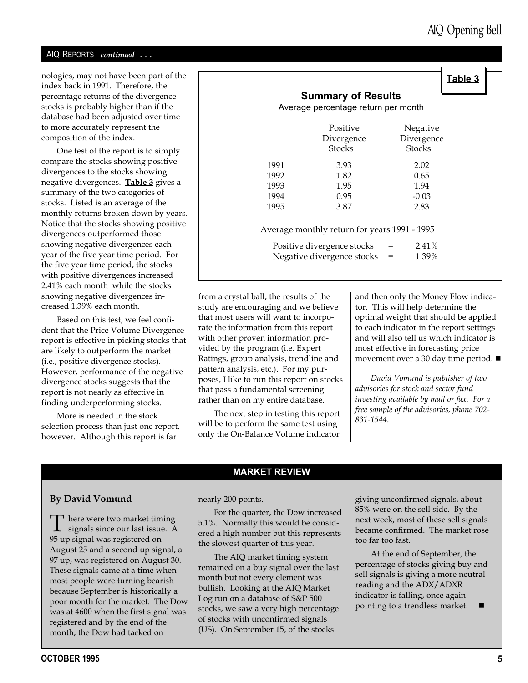#### AIQ REPORTS continued ...

nologies, may not have been part of the index back in 1991. Therefore, the percentage returns of the divergence stocks is probably higher than if the database had been adjusted over time to more accurately represent the composition of the index.

One test of the report is to simply compare the stocks showing positive divergences to the stocks showing negative divergences. **Table 3** gives a summary of the two categories of stocks. Listed is an average of the monthly returns broken down by years. Notice that the stocks showing positive divergences outperformed those showing negative divergences each year of the five year time period. For the five year time period, the stocks with positive divergences increased 2.41% each month while the stocks showing negative divergences increased 1.39% each month.

Based on this test, we feel confident that the Price Volume Divergence report is effective in picking stocks that are likely to outperform the market (i.e., positive divergence stocks). However, performance of the negative divergence stocks suggests that the report is not nearly as effective in finding underperforming stocks.

More is needed in the stock selection process than just one report, however. Although this report is far

|                                     |                                              |               | Table 3 |  |  |  |  |
|-------------------------------------|----------------------------------------------|---------------|---------|--|--|--|--|
|                                     | <b>Summary of Results</b>                    |               |         |  |  |  |  |
| Average percentage return per month |                                              |               |         |  |  |  |  |
|                                     | Positive                                     | Negative      |         |  |  |  |  |
|                                     | Divergence                                   | Divergence    |         |  |  |  |  |
|                                     | <b>Stocks</b>                                | <b>Stocks</b> |         |  |  |  |  |
|                                     |                                              |               |         |  |  |  |  |
| 1991                                | 3.93                                         | 2.02          |         |  |  |  |  |
| 1992                                | 1.82                                         | 0.65          |         |  |  |  |  |
| 1993                                | 1.95                                         | 1.94          |         |  |  |  |  |
| 1994                                | 0.95                                         | $-0.03$       |         |  |  |  |  |
| 1995                                | 3.87                                         | 2.83          |         |  |  |  |  |
|                                     |                                              |               |         |  |  |  |  |
|                                     | Average monthly return for years 1991 - 1995 |               |         |  |  |  |  |
| Positive divergence stocks          | 2.41%<br>$=$                                 |               |         |  |  |  |  |
| Negative divergence stocks          |                                              |               |         |  |  |  |  |
|                                     |                                              | 1.39%         |         |  |  |  |  |
|                                     |                                              |               |         |  |  |  |  |

from a crystal ball, the results of the study are encouraging and we believe that most users will want to incorporate the information from this report with other proven information provided by the program (i.e. Expert Ratings, group analysis, trendline and pattern analysis, etc.). For my purposes, I like to run this report on stocks that pass a fundamental screening rather than on my entire database.

The next step in testing this report will be to perform the same test using only the On-Balance Volume indicator

and then only the Money Flow indicator. This will help determine the optimal weight that should be applied to each indicator in the report settings and will also tell us which indicator is most effective in forecasting price movement over a 30 day time period.  $\blacksquare$ 

David Vomund is publisher of two advisories for stock and sector fund investing available by mail or fax. For a free sample of the advisories, phone 702- 831-1544.

#### MARKET REVIEW

#### By David Vomund

There were two market timing<br>signals since our last issue. A 95 up signal was registered on August 25 and a second up signal, a 97 up, was registered on August 30. These signals came at a time when most people were turning bearish because September is historically a poor month for the market. The Dow was at 4600 when the first signal was registered and by the end of the month, the Dow had tacked on

nearly 200 points.

For the quarter, the Dow increased 5.1%. Normally this would be considered a high number but this represents the slowest quarter of this year.

The AIQ market timing system remained on a buy signal over the last month but not every element was bullish. Looking at the AIQ Market Log run on a database of S&P 500 stocks, we saw a very high percentage of stocks with unconfirmed signals (US). On September 15, of the stocks

giving unconfirmed signals, about 85% were on the sell side. By the next week, most of these sell signals became confirmed. The market rose too far too fast.

At the end of September, the percentage of stocks giving buy and sell signals is giving a more neutral reading and the ADX/ADXR indicator is falling, once again pointing to a trendless market.  $\blacksquare$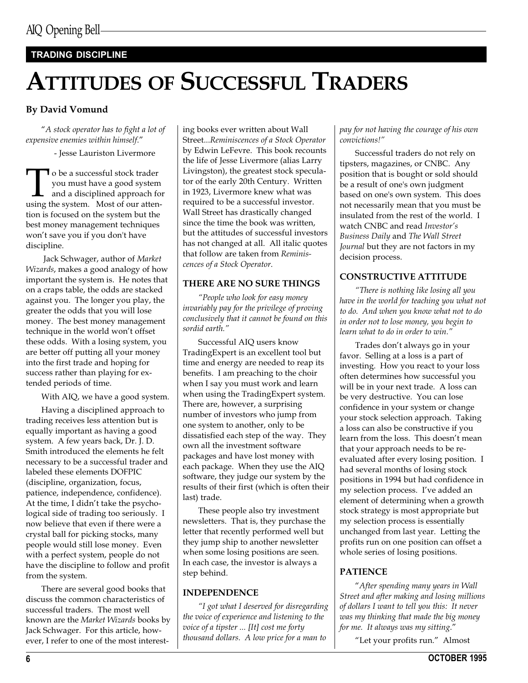#### TRADING DISCIPLINE

# ATTITUDES OF SUCCESSFUL TRADERS

#### By David Vomund

A stock operator has to fight a lot of expensive enemies within himself.

- Jesse Lauriston Livermore

To be a successful stock trader<br>you must have a good system<br>and a disciplined approach fo<br>using the system. Most of our attenyou must have a good system and a disciplined approach for tion is focused on the system but the best money management techniques won't save you if you don't have discipline.

 Jack Schwager, author of Market Wizards, makes a good analogy of how important the system is. He notes that on a craps table, the odds are stacked against you. The longer you play, the greater the odds that you will lose money. The best money management technique in the world won't offset these odds. With a losing system, you are better off putting all your money into the first trade and hoping for success rather than playing for extended periods of time.

With AIQ, we have a good system.

Having a disciplined approach to trading receives less attention but is equally important as having a good system. A few years back, Dr. J. D. Smith introduced the elements he felt necessary to be a successful trader and labeled these elements DOFPIC (discipline, organization, focus, patience, independence, confidence). At the time, I didn't take the psychological side of trading too seriously. I now believe that even if there were a crystal ball for picking stocks, many people would still lose money. Even with a perfect system, people do not have the discipline to follow and profit from the system.

There are several good books that discuss the common characteristics of successful traders. The most well known are the Market Wizards books by Jack Schwager. For this article, however, I refer to one of the most interest-

ing books ever written about Wall Street...Reminiscences of a Stock Operator by Edwin LeFevre. This book recounts the life of Jesse Livermore (alias Larry Livingston), the greatest stock speculator of the early 20th Century. Written in 1923, Livermore knew what was required to be a successful investor. Wall Street has drastically changed since the time the book was written, but the attitudes of successful investors has not changed at all. All italic quotes that follow are taken from Reminiscences of a Stock Operator.

#### THERE ARE NO SURE THINGS

People who look for easy money invariably pay for the privilege of proving conclusively that it cannot be found on this sordid earth.

Successful AIQ users know TradingExpert is an excellent tool but time and energy are needed to reap its benefits. I am preaching to the choir when I say you must work and learn when using the TradingExpert system. There are, however, a surprising number of investors who jump from one system to another, only to be dissatisfied each step of the way. They own all the investment software packages and have lost money with each package. When they use the AIQ software, they judge our system by the results of their first (which is often their last) trade.

These people also try investment newsletters. That is, they purchase the letter that recently performed well but they jump ship to another newsletter when some losing positions are seen. In each case, the investor is always a step behind.

#### INDEPENDENCE

I got what I deserved for disregarding the voice of experience and listening to the voice of a tipster ... [It] cost me forty thousand dollars. A low price for a man to

#### pay for not having the courage of his own convictions!

Successful traders do not rely on tipsters, magazines, or CNBC. Any position that is bought or sold should be a result of one's own judgment based on one's own system. This does not necessarily mean that you must be insulated from the rest of the world. I watch CNBC and read Investor's Business Daily and The Wall Street Journal but they are not factors in my decision process.

#### CONSTRUCTIVE ATTITUDE

There is nothing like losing all you have in the world for teaching you what not to do. And when you know what not to do in order not to lose money, you begin to learn what to do in order to win.

Trades don't always go in your favor. Selling at a loss is a part of investing. How you react to your loss often determines how successful you will be in your next trade. A loss can be very destructive. You can lose confidence in your system or change your stock selection approach. Taking a loss can also be constructive if you learn from the loss. This doesn't mean that your approach needs to be reevaluated after every losing position. I had several months of losing stock positions in 1994 but had confidence in my selection process. I've added an element of determining when a growth stock strategy is most appropriate but my selection process is essentially unchanged from last year. Letting the profits run on one position can offset a whole series of losing positions.

#### PATIENCE

After spending many years in Wall Street and after making and losing millions of dollars I want to tell you this: It never was my thinking that made the big money for me. It always was my sitting.

"Let your profits run." Almost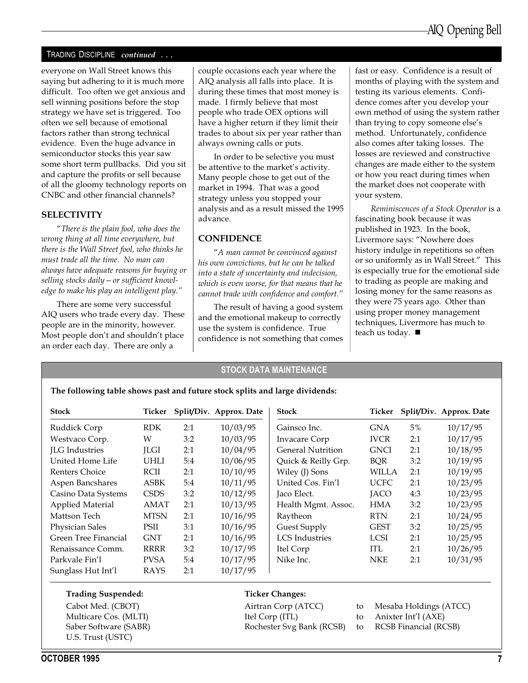#### TRADING DISCIPLINE continued ...

everyone on Wall Street knows this saying but adhering to it is much more difficult. Too often we get anxious and sell winning positions before the stop strategy we have set is triggered. Too often we sell because of emotional factors rather than strong technical evidence. Even the huge advance in semiconductor stocks this year saw some short term pullbacks. Did you sit and capture the profits or sell because of all the gloomy technology reports on CNBC and other financial channels?

#### **SELECTIVITY**

There is the plain fool, who does the wrong thing at all time everywhere, but there is the Wall Street fool, who thinks he must trade all the time. No man can always have adequate reasons for buying or selling stocks daily  $-$  or sufficient knowledge to make his play an intelligent play.

There are some very successful AIQ users who trade every day. These people are in the minority, however. Most people don't and shouldn't place an order each day. There are only a

couple occasions each year where the AIQ analysis all falls into place. It is during these times that most money is made. I firmly believe that most people who trade OEX options will have a higher return if they limit their trades to about six per year rather than always owning calls or puts.

In order to be selective you must be attentive to the market's activity. Many people chose to get out of the market in 1994. That was a good strategy unless you stopped your analysis and as a result missed the 1995 advance.

#### **CONFIDENCE**

A man cannot be convinced against his own convictions, but he can be talked into a state of uncertainty and indecision, which is even worse, for that means that he cannot trade with confidence and comfort.

The result of having a good system and the emotional makeup to correctly use the system is confidence. True confidence is not something that comes fast or easy. Confidence is a result of months of playing with the system and testing its various elements. Confidence comes after you develop your own method of using the system rather than trying to copy someone else's method. Unfortunately, confidence also comes after taking losses. The losses are reviewed and constructive changes are made either to the system or how you react during times when the market does not cooperate with your system.

Reminiscences of a Stock Operator is a fascinating book because it was published in 1923. In the book, Livermore says: "Nowhere does history indulge in repetitions so often or so uniformly as in Wall Street." This is especially true for the emotional side to trading as people are making and losing money for the same reasons as they were 75 years ago. Other than using proper money management techniques, Livermore has much to teach us today.  $\blacksquare$ 

#### STOCK DATA MAINTENANCE

| <b>Stock</b>            | Ticker      |     | Split/Div. Approx. Date | Stock                 | Ticker      |     | Split/Div. Approx. Date |
|-------------------------|-------------|-----|-------------------------|-----------------------|-------------|-----|-------------------------|
| Ruddick Corp            | <b>RDK</b>  | 2:1 | 10/03/95                | Gainsco Inc.          | <b>GNA</b>  | 5%  | 10/17/95                |
| Westvaco Corp.          | W           | 3:2 | 10/03/95                | <b>Invacare Corp</b>  | <b>IVCR</b> | 2:1 | 10/17/95                |
| JLG Industries          | <b>ILGI</b> | 2:1 | 10/04/95                | General Nutrition     | <b>GNCI</b> | 2:1 | 10/18/95                |
| United Home Life        | UHLI        | 5:4 | 10/06/95                | Quick & Reilly Grp.   | BQR         | 3:2 | 10/19/95                |
| Renters Choice          | RCII        | 2:1 | 10/10/95                | Wiley (J) Sons        | WILLA       | 2:1 | 10/19/95                |
| Aspen Bancshares        | <b>ASBK</b> | 5:4 | 10/11/95                | United Cos. Fin'l     | <b>UCFC</b> | 2:1 | 10/23/95                |
| Casino Data Systems     | <b>CSDS</b> | 3:2 | 10/12/95                | Jaco Elect.           | <b>JACO</b> | 4:3 | 10/23/95                |
| <b>Applied Material</b> | AMAT        | 2:1 | 10/13/95                | Health Mgmt. Assoc.   | HMA         | 3:2 | 10/23/95                |
| Mattson Tech            | <b>MTSN</b> | 2:1 | 10/16/95                | Raytheon              | <b>RTN</b>  | 2:1 | 10/24/95                |
| <b>Physician Sales</b>  | PSII        | 3:1 | 10/16/95                | Guest Supply          | <b>GEST</b> | 3:2 | 10/25/95                |
| Green Tree Financial    | <b>GNT</b>  | 2:1 | 10/16/95                | <b>LCS</b> Industries | <b>LCSI</b> | 2:1 | 10/25/95                |
| Renaissance Comm.       | <b>RRRR</b> | 3:2 | 10/17/95                | Itel Corp             | <b>ITL</b>  | 2:1 | 10/26/95                |
| Parkvale Fin'l          | <b>PVSA</b> | 5:4 | 10/17/95                | Nike Inc.             | <b>NKE</b>  | 2:1 | 10/31/95                |
| Sunglass Hut Int'l      | RAYS        | 2:1 | 10/17/95                |                       |             |     |                         |

The following table shows past and future stock splits and large dividends:

#### Trading Suspended:

Cabot Med. (CBOT) Multicare Cos. (MLTI) Saber Software (SABR) U.S. Trust (USTC)

#### Ticker Changes:

Airtran Corp (ATCC) to Mesaba Holdings (ATCC) Itel Corp (ITL) to Anixter Int'l (AXE) Rochester Svg Bank (RCSB) to RCSB Financial (RCSB)